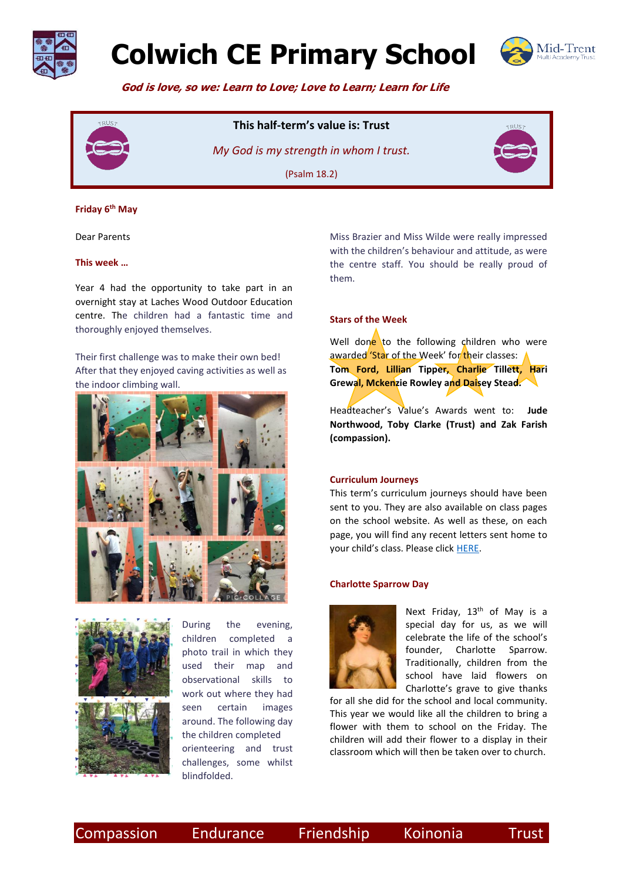

# **Colwich CE Primary School**



 **God is love, so we: Learn to Love; Love to Learn; Learn for Life**



## **This half-term's value is: Trust**

*My God is my strength in whom I trust.*  (Psalm 18.2)



### **Friday 6 th May**

Dear Parents

### **This week …**

Year 4 had the opportunity to take part in an overnight stay at Laches Wood Outdoor Education centre. The children had a fantastic time and thoroughly enjoyed themselves.

Their first challenge was to make their own bed! After that they enjoyed caving activities as well as the indoor climbing wall.







During the evening, children completed a photo trail in which they used their map and observational skills to work out where they had seen certain images around. The following day the children completed orienteering and trust challenges, some whilst blindfolded.

Miss Brazier and Miss Wilde were really impressed with the children's behaviour and attitude, as were the centre staff. You should be really proud of them.

### **Stars of the Week**

Well done to the following children who were awarded 'Star of the Week' for their classes: **Tom Ford, Lillian Tipper, Charlie Tillett, Hari Grewal, Mckenzie Rowley and Daisey Stead.** 

Headteacher's Value's Awards went to: **Jude Northwood, Toby Clarke (Trust) and Zak Farish (compassion).**

#### **Curriculum Journeys**

This term's curriculum journeys should have been sent to you. They are also available on class pages on the school website. As well as these, on each page, you will find any recent letters sent home to your child's class. Please click [HERE.](https://www.colwich.staffs.sch.uk/curriculum_vision/class-learning-journeys/)

### **Charlotte Sparrow Day**



Next Friday, 13<sup>th</sup> of May is a special day for us, as we will celebrate the life of the school's founder, Charlotte Sparrow. Traditionally, children from the school have laid flowers on Charlotte's grave to give thanks

for all she did for the school and local community. This year we would like all the children to bring a flower with them to school on the Friday. The children will add their flower to a display in their classroom which will then be taken over to church.

Compassion Endurance Friendship Koinonia Trust

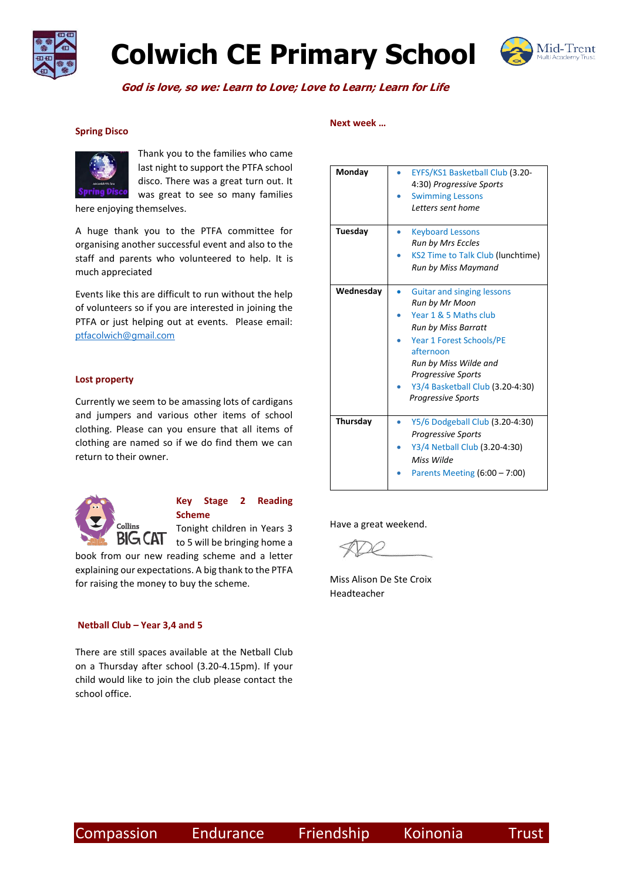

# **Colwich CE Primary School**



 **God is love, so we: Learn to Love; Love to Learn; Learn for Life**

### **Spring Disco**



Thank you to the families who came last night to support the PTFA school disco. There was a great turn out. It was great to see so many families

here enjoying themselves.

A huge thank you to the PTFA committee for organising another successful event and also to the staff and parents who volunteered to help. It is much appreciated

Events like this are difficult to run without the help of volunteers so if you are interested in joining the PTFA or just helping out at events. Please email: [ptfacolwich@gmail.com](mailto:ptfacolwich@gmail.com)

### **Lost property**

Currently we seem to be amassing lots of cardigans and jumpers and various other items of school clothing. Please can you ensure that all items of clothing are named so if we do find them we can return to their owner.



### **Key Stage 2 Reading Scheme**

Tonight children in Years 3  $\overline{B}$   $\overline{C}$   $\overline{AT}$  to 5 will be bringing home a

book from our new reading scheme and a letter explaining our expectations. A big thank to the PTFA for raising the money to buy the scheme.

### **Netball Club – Year 3,4 and 5**

There are still spaces available at the Netball Club on a Thursday after school (3.20-4.15pm). If your child would like to join the club please contact the school office.

#### **Next week …**

| Monday    | EYFS/KS1 Basketball Club (3.20-   |
|-----------|-----------------------------------|
|           | 4:30) Progressive Sports          |
|           | <b>Swimming Lessons</b>           |
|           | Letters sent home                 |
|           |                                   |
| Tuesday   | <b>Keyboard Lessons</b>           |
|           | <b>Run by Mrs Eccles</b>          |
|           | KS2 Time to Talk Club (lunchtime) |
|           | Run by Miss Maymand               |
|           |                                   |
| Wednesday | <b>Guitar and singing lessons</b> |
|           | Run by Mr Moon                    |
|           | Year 1 & 5 Maths club             |
|           | Run by Miss Barratt               |
|           | Year 1 Forest Schools/PE          |
|           | afternoon                         |
|           | Run by Miss Wilde and             |
|           | <b>Progressive Sports</b>         |
|           | Y3/4 Basketball Club (3.20-4:30)  |
|           | <b>Progressive Sports</b>         |
|           |                                   |
| Thursday  | Y5/6 Dodgeball Club (3.20-4:30)   |
|           | <b>Progressive Sports</b>         |
|           | Y3/4 Netball Club (3.20-4:30)     |
|           | Miss Wilde                        |
|           | Parents Meeting $(6:00 - 7:00)$   |
|           |                                   |

Have a great weekend.

Miss Alison De Ste Croix Headteacher